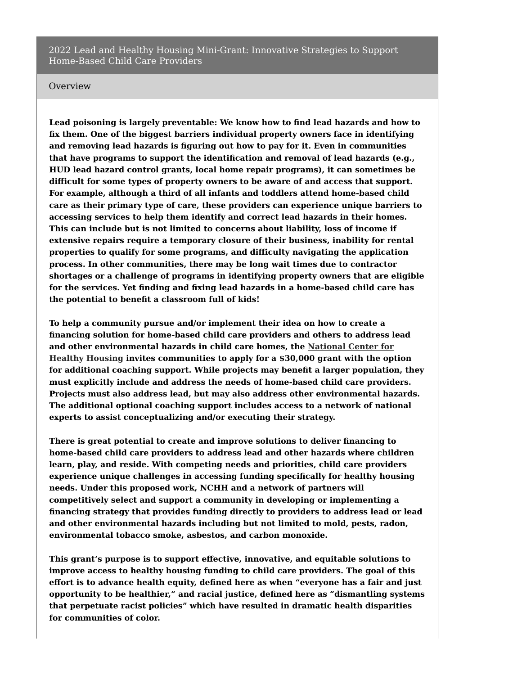#### **Overview**

**Lead poisoning is largely preventable: We know how to find lead hazards and how to fix them. One of the biggest barriers individual property owners face in identifying and removing lead hazards is figuring out how to pay for it. Even in communities that have programs to support the identification and removal of lead hazards (e.g., HUD lead hazard control grants, local home repair programs), it can sometimes be difficult for some types of property owners to be aware of and access that support. For example, although a third of all infants and toddlers attend home-based child care as their primary type of care, these providers can experience unique barriers to accessing services to help them identify and correct lead hazards in their homes. This can include but is not limited to concerns about liability, loss of income if extensive repairs require a temporary closure of their business, inability for rental properties to qualify for some programs, and difficulty navigating the application process. In other communities, there may be long wait times due to contractor shortages or a challenge of programs in identifying property owners that are eligible for the services. Yet finding and fixing lead hazards in a home-based child care has the potential to benefit a classroom full of kids!**

**To help a community pursue and/or implement their idea on how to create a financing solution for home-based child care providers and others to address lead and other [environmental](https://nchh.org/) hazards in child care homes, the National Center for Healthy Housing invites communities to apply for a \$30,000 grant with the option for additional coaching support. While projects may benefit a larger population, they must explicitly include and address the needs of home-based child care providers. Projects must also address lead, but may also address other environmental hazards. The additional optional coaching support includes access to a network of national experts to assist conceptualizing and/or executing their strategy.**

**There is great potential to create and improve solutions to deliver financing to home-based child care providers to address lead and other hazards where children learn, play, and reside. With competing needs and priorities, child care providers experience unique challenges in accessing funding specifically for healthy housing needs. Under this proposed work, NCHH and a network of partners will competitively select and support a community in developing or implementing a financing strategy that provides funding directly to providers to address lead or lead and other environmental hazards including but not limited to mold, pests, radon, environmental tobacco smoke, asbestos, and carbon monoxide.**

**This grant's purpose is to support effective, innovative, and equitable solutions to improve access to healthy housing funding to child care providers. The goal of this effort is to advance health equity, defined here as when "everyone has a fair and just opportunity to be healthier," and racial justice, defined here as "dismantling systems that perpetuate racist policies" which have resulted in dramatic health disparities for communities of color.**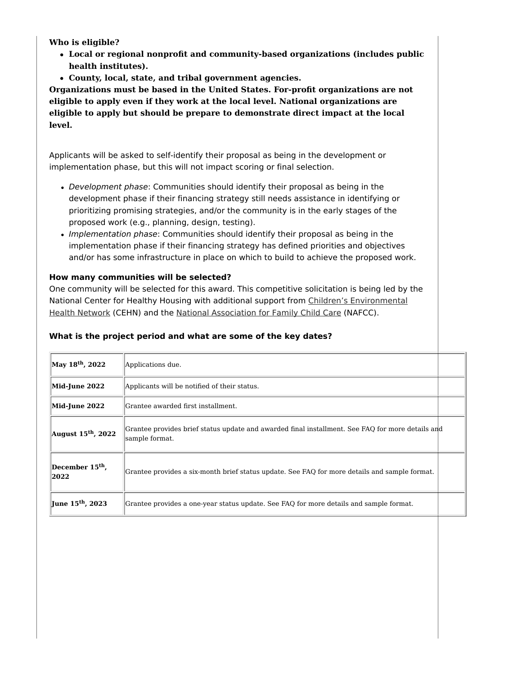**Who is eligible?**

- **Local or regional nonprofit and community-based organizations (includes public health institutes).**
- **County, local, state, and tribal government agencies.**

**Organizations must be based in the United States. For-profit organizations are not eligible to apply even if they work at the local level. National organizations are eligible to apply but should be prepare to demonstrate direct impact at the local level.**

Applicants will be asked to self-identify their proposal as being in the development or implementation phase, but this will not impact scoring or final selection.

- Development phase: Communities should identify their proposal as being in the development phase if their financing strategy still needs assistance in identifying or prioritizing promising strategies, and/or the community is in the early stages of the proposed work (e.g., planning, design, testing).
- Implementation phase: Communities should identify their proposal as being in the implementation phase if their financing strategy has defined priorities and objectives and/or has some infrastructure in place on which to build to achieve the proposed work.

## **How many communities will be selected?**

One community will be selected for this award. This competitive solicitation is being led by the National Center for Healthy Housing with additional support from Children's [Environmental](https://cehn.org/) Health Network (CEHN) and the National [Association](https://nafcc.org/) for Family Child Care (NAFCC).

# **What is the project period and what are some of the key dates?**

| May 18 <sup>th</sup> , 2022         | Applications due.                                                                                                  |  |  |  |
|-------------------------------------|--------------------------------------------------------------------------------------------------------------------|--|--|--|
| <b>Mid-June 2022</b>                | Applicants will be notified of their status.                                                                       |  |  |  |
| Mid-June 2022                       | Grantee awarded first installment.                                                                                 |  |  |  |
| August $15th$ , 2022                | Grantee provides brief status update and awarded final installment. See FAO for more details and<br>sample format. |  |  |  |
| December 15 <sup>th</sup> ,<br>2022 | Grantee provides a six-month brief status update. See FAQ for more details and sample format.                      |  |  |  |
| June 15 <sup>th</sup> , 2023        | Grantee provides a one-year status update. See FAO for more details and sample format.                             |  |  |  |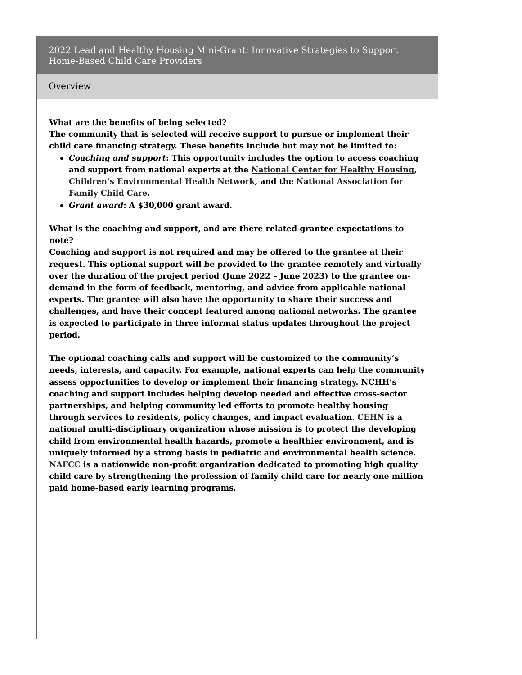### **Overview**

#### **What are the benefits of being selected?**

**The community that is selected will receive support to pursue or implement their child care financing strategy. These benefits include but may not be limited to:**

- *Coaching and support***: This opportunity includes the option to access coaching and support from national experts at the [National](https://nchh.org/) Center for Healthy Housing, Children's [Environmental](https://nafcc.org/) Health Network, and the National Association for Family Child Care.**
- *Grant award***: A \$30,000 grant award.**

**What is the coaching and support, and are there related grantee expectations to note?**

**Coaching and support is not required and may be offered to the grantee at their request. This optional support will be provided to the grantee remotely and virtually over the duration of the project period (June 2022 – June 2023) to the grantee ondemand in the form of feedback, mentoring, and advice from applicable national experts. The grantee will also have the opportunity to share their success and challenges, and have their concept featured among national networks. The grantee is expected to participate in three informal status updates throughout the project period.**

**The optional coaching calls and support will be customized to the community's needs, interests, and capacity. For example, national experts can help the community assess opportunities to develop or implement their financing strategy. NCHH's coaching and support includes helping develop needed and effective cross-sector partnerships, and helping community led efforts to promote healthy housing through services to residents, policy changes, and impact evaluation. [CEHN](https://cehn.org/) is a national multi-disciplinary organization whose mission is to protect the developing child from environmental health hazards, promote a healthier environment, and is uniquely informed by a strong basis in pediatric and environmental health science. [NAFCC](https://nafcc.org/) is a nationwide non-profit organization dedicated to promoting high quality child care by strengthening the profession of family child care for nearly one million paid home-based early learning programs.**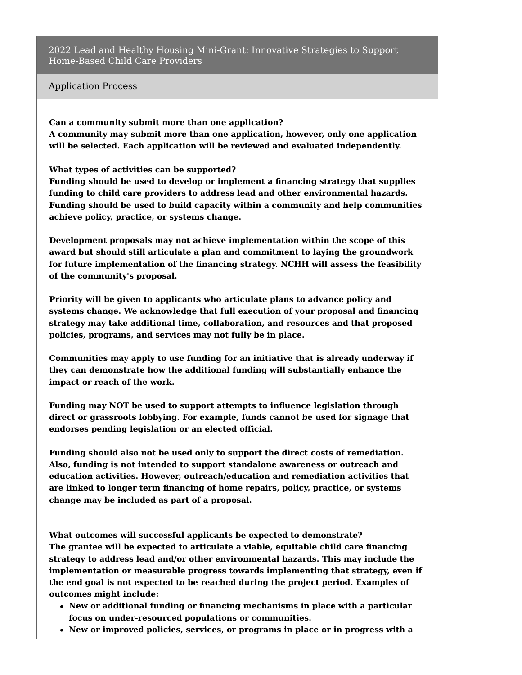### Application Process

**Can a community submit more than one application? A community may submit more than one application, however, only one application will be selected. Each application will be reviewed and evaluated independently.**

**What types of activities can be supported?**

**Funding should be used to develop or implement a financing strategy that supplies funding to child care providers to address lead and other environmental hazards. Funding should be used to build capacity within a community and help communities achieve policy, practice, or systems change.**

**Development proposals may not achieve implementation within the scope of this award but should still articulate a plan and commitment to laying the groundwork for future implementation of the financing strategy. NCHH will assess the feasibility of the community's proposal.**

**Priority will be given to applicants who articulate plans to advance policy and systems change. We acknowledge that full execution of your proposal and financing strategy may take additional time, collaboration, and resources and that proposed policies, programs, and services may not fully be in place.**

**Communities may apply to use funding for an initiative that is already underway if they can demonstrate how the additional funding will substantially enhance the impact or reach of the work.**

**Funding may NOT be used to support attempts to influence legislation through direct or grassroots lobbying. For example, funds cannot be used for signage that endorses pending legislation or an elected official.**

**Funding should also not be used only to support the direct costs of remediation. Also, funding is not intended to support standalone awareness or outreach and education activities. However, outreach/education and remediation activities that are linked to longer term financing of home repairs, policy, practice, or systems change may be included as part of a proposal.**

**What outcomes will successful applicants be expected to demonstrate? The grantee will be expected to articulate a viable, equitable child care financing strategy to address lead and/or other environmental hazards. This may include the implementation or measurable progress towards implementing that strategy, even if the end goal is not expected to be reached during the project period. Examples of outcomes might include:**

- **New or additional funding or financing mechanisms in place with a particular focus on under-resourced populations or communities.**
- **New or improved policies, services, or programs in place or in progress with a**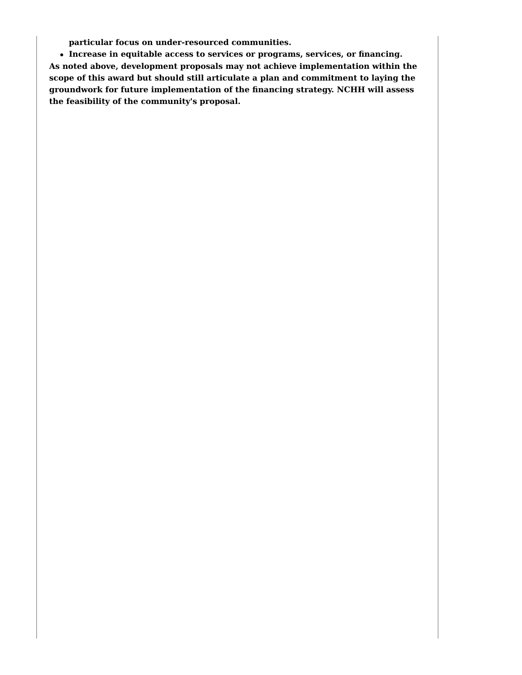**particular focus on under-resourced communities.**

**Increase in equitable access to services or programs, services, or financing. As noted above, development proposals may not achieve implementation within the scope of this award but should still articulate a plan and commitment to laying the groundwork for future implementation of the financing strategy. NCHH will assess the feasibility of the community's proposal.**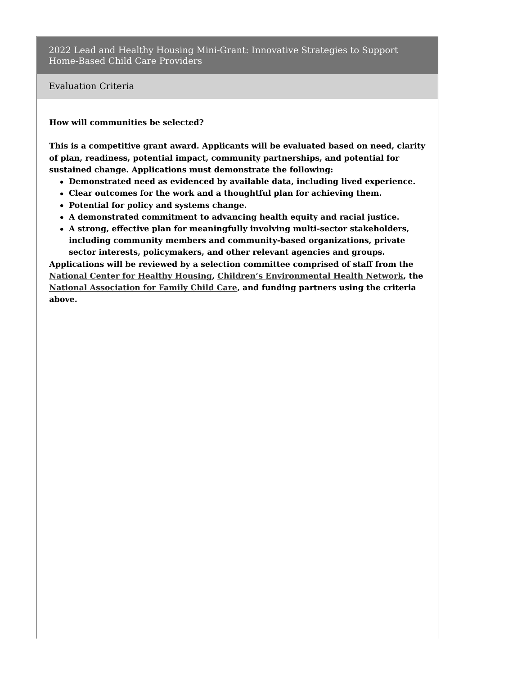Evaluation Criteria

**How will communities be selected?**

**This is a competitive grant award. Applicants will be evaluated based on need, clarity of plan, readiness, potential impact, community partnerships, and potential for sustained change. Applications must demonstrate the following:**

- **Demonstrated need as evidenced by available data, including lived experience.**
- **Clear outcomes for the work and a thoughtful plan for achieving them.**
- **Potential for policy and systems change.**
- **A demonstrated commitment to advancing health equity and racial justice.**
- **A strong, effective plan for meaningfully involving multi-sector stakeholders, including community members and community-based organizations, private sector interests, policymakers, and other relevant agencies and groups.**

**Applications will be reviewed by a selection committee comprised of staff from the [National](https://nchh.org/) Center for Healthy Housing, Children's [Environmental](https://cehn.org/) Health Network, the National [Association](https://nafcc.org/) for Family Child Care, and funding partners using the criteria above.**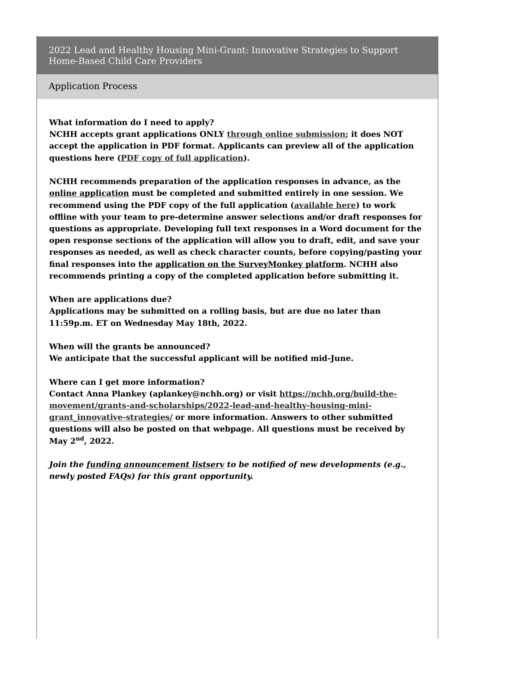Application Process

### **What information do I need to apply?**

**NCHH accepts grant applications ONLY through online [submission](https://www.surveymonkey.com/r/WQGZW9B); it does NOT accept the application in PDF format. Applicants can preview all of the application questions here (PDF copy of full [application](https://nchh.org/resource-library/grants_rfp_lhh-2022.pdf)).**

**NCHH recommends preparation of the application responses in advance, as the online [application](https://www.surveymonkey.com/r/WQGZW9B) must be completed and submitted entirely in one session. We recommend using the PDF copy of the full application [\(available](https://nchh.org/resource-library/grants_rfp_lhh-2022.pdf) here) to work offline with your team to pre-determine answer selections and/or draft responses for questions as appropriate. Developing full text responses in a Word document for the open response sections of the application will allow you to draft, edit, and save your responses as needed, as well as check character counts, before copying/pasting your final responses into the application on the [SurveyMonkey](https://www.surveymonkey.com/r/WQGZW9B) platform. NCHH also recommends printing a copy of the completed application before submitting it.**

**When are applications due?**

**Applications may be submitted on a rolling basis, but are due no later than 11:59p.m. ET on Wednesday May 18th, 2022.**

**When will the grants be announced? We anticipate that the successful applicant will be notified mid-June.**

**Where can I get more information?**

**Contact Anna Plankey (aplankey@nchh.org) or visit https://nchh.org/build-the[movement/grants-and-scholarships/2022-lead-and-healthy-housing-mini](https://nchh.org/build-the-movement/grants-and-scholarships/2022-lead-and-healthy-housing-mini-grant_innovative-strategies/)grant\_innovative-strategies/ or more information. Answers to other submitted questions will also be posted on that webpage. All questions must be received by May 2 , 2022. nd**

*Join the funding [announcement](https://www.surveymonkey.com/r/Q8RXBVQ) listserv to be notified of new developments (e.g., newly posted FAQs) for this grant opportunity.*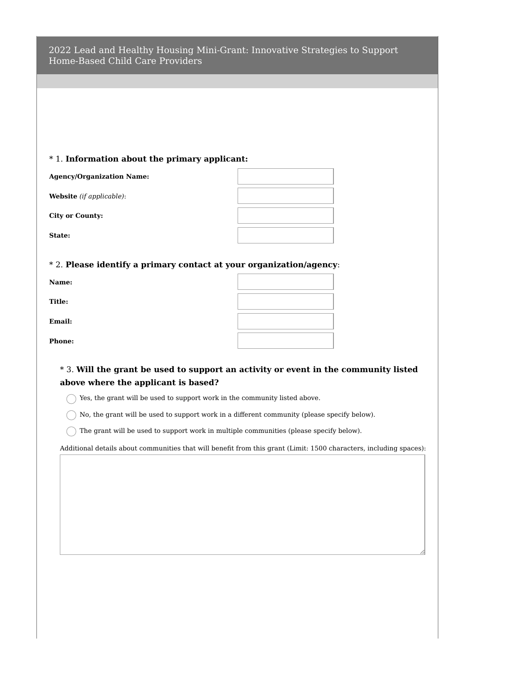| 2022 Lead and Healthy Housing Mini-Grant: Innovative Strategies to Support |  |  |
|----------------------------------------------------------------------------|--|--|
| Home-Based Child Care Providers                                            |  |  |

## \* 1. **Information about the primary applicant:**

| <b>Agency/Organization Name:</b> |  |
|----------------------------------|--|
| Website (if applicable):         |  |
| <b>City or County:</b>           |  |
| State:                           |  |

### \* 2. **Please identify a primary contact at your organization/agency**:

| Name: |  |
|-------|--|
|       |  |

**Title:**

**Email:**

**Phone:**

| * 3. Will the grant be used to support an activity or event in the community listed |
|-------------------------------------------------------------------------------------|
| above where the applicant is based?                                                 |

 $\bigcirc$  Yes, the grant will be used to support work in the community listed above.

 $\bigcap$  No, the grant will be used to support work in a different community (please specify below).

 $\bigcap$  The grant will be used to support work in multiple communities (please specify below).

Additional details about communities that will benefit from this grant (Limit: 1500 characters, including spaces):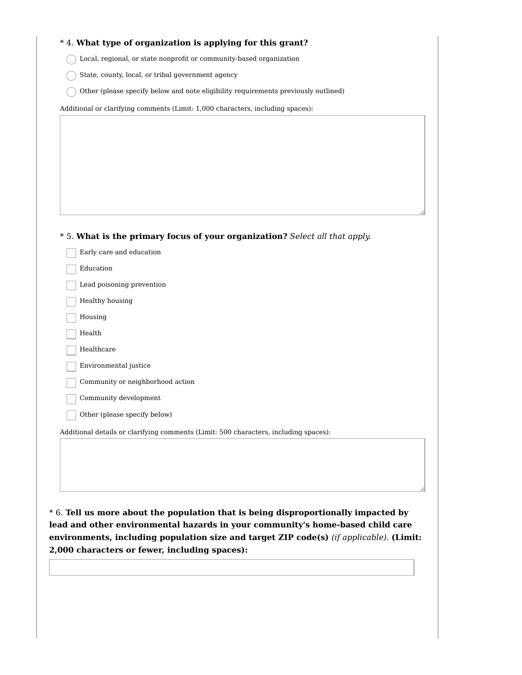### \* 4. **What type of organization is applying for this grant?**

 $\bigcap$  Local, regional, or state nonprofit or community-based organization

 $\bigcirc$  State, county, local, or tribal government agency

 $\bigcap$  Other (please specify below and note eligibility requirements previously outlined)

Additional or clarifying comments (Limit: 1,000 characters, including spaces):

#### \* 5. **What is the primary focus of your organization?** *Select all that apply.*

| Early care and education                                                             |
|--------------------------------------------------------------------------------------|
| Education                                                                            |
| Lead poisoning prevention                                                            |
| Healthy housing                                                                      |
| Housing                                                                              |
| Health                                                                               |
| Healthcare                                                                           |
| Environmental justice                                                                |
| Community or neighborhood action                                                     |
| Community development                                                                |
| Other (please specify below)                                                         |
| Additional details or clarifying comments (Limit: 500 characters, including spaces): |

\* 6. **Tell us more about the population that is being disproportionally impacted by lead and other environmental hazards in your community's home-based child care environments, including population size and target ZIP code(s)** *(if applicable).* **(Limit: 2,000 characters or fewer, including spaces):**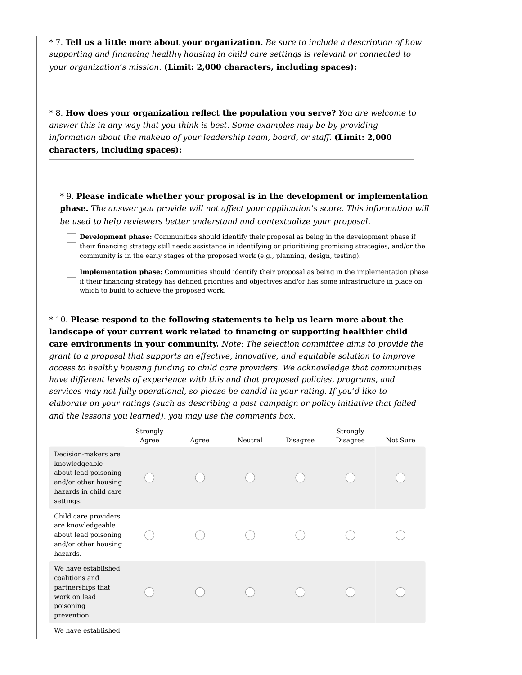\* 7. **Tell us a little more about your organization.** *Be sure to include a description of how supporting and financing healthy housing in child care settings is relevant or connected to your organization's mission.* **(Limit: 2,000 characters, including spaces):**

\* 8. **How does your organization reflect the population you serve?** *You are welcome to answer this in any way that you think is best. Some examples may be by providing information about the makeup of your leadership team, board, or staff.* **(Limit: 2,000 characters, including spaces):**

\* 9. **Please indicate whether your proposal is in the development or implementation phase.** *The answer you provide will not affect your application's score. This information will be used to help reviewers better understand and contextualize your proposal.*

**Development phase:** Communities should identify their proposal as being in the development phase if their financing strategy still needs assistance in identifying or prioritizing promising strategies, and/or the community is in the early stages of the proposed work (e.g., planning, design, testing).

**Implementation phase:** Communities should identify their proposal as being in the implementation phase if their financing strategy has defined priorities and objectives and/or has some infrastructure in place on which to build to achieve the proposed work.

\* 10. **Please respond to the following statements to help us learn more about the landscape of your current work related to financing or supporting healthier child care environments in your community.** *Note: The selection committee aims to provide the grant to a proposal that supports an effective, innovative, and equitable solution to improve access to healthy housing funding to child care providers. We acknowledge that communities have different levels of experience with this and that proposed policies, programs, and services may not fully operational, so please be candid in your rating. If you'd like to elaborate on your ratings (such as describing a past campaign or policy initiative that failed and the lessons you learned), you may use the comments box.*

|                                                                                                                            | Strongly<br>Agree | Agree | Neutral | Disagree | Strongly<br>Disagree | Not Sure |
|----------------------------------------------------------------------------------------------------------------------------|-------------------|-------|---------|----------|----------------------|----------|
| Decision-makers are<br>knowledgeable<br>about lead poisoning<br>and/or other housing<br>hazards in child care<br>settings. |                   |       |         |          |                      |          |
| Child care providers<br>are knowledgeable<br>about lead poisoning<br>and/or other housing<br>hazards.                      |                   |       |         |          |                      |          |
| We have established<br>coalitions and<br>partnerships that<br>work on lead<br>poisoning<br>prevention.                     |                   |       |         |          |                      |          |
| We have established                                                                                                        |                   |       |         |          |                      |          |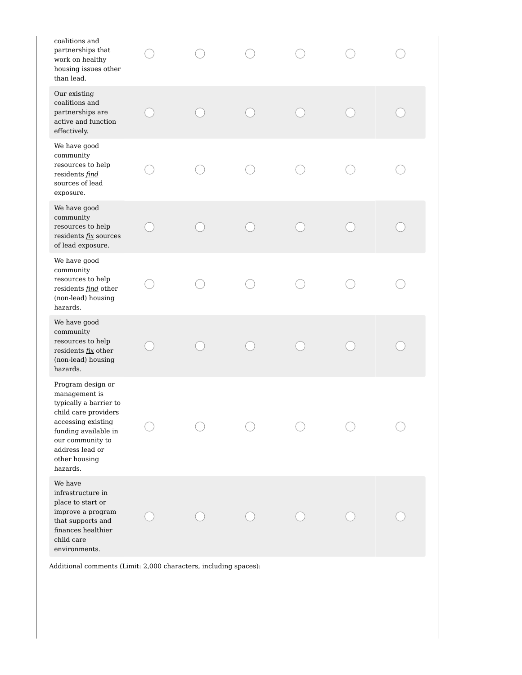| coalitions and<br>partnerships that<br>work on healthy<br>housing issues other<br>than lead.                                                                                                           |  |  |  |
|--------------------------------------------------------------------------------------------------------------------------------------------------------------------------------------------------------|--|--|--|
| Our existing<br>coalitions and<br>partnerships are<br>active and function<br>effectively.                                                                                                              |  |  |  |
| We have good<br>$\operatorname{community}$<br>resources to help<br>residents find<br>sources of lead<br>exposure.                                                                                      |  |  |  |
| We have good<br>community<br>resources to help<br>residents fix sources<br>of lead exposure.                                                                                                           |  |  |  |
| We have good<br>community<br>resources to help<br>residents <i>find</i> other<br>(non-lead) housing<br>hazards.                                                                                        |  |  |  |
| We have good<br>community<br>resources to help<br>residents fix other<br>(non-lead) housing<br>hazards.                                                                                                |  |  |  |
| Program design or<br>management is<br>typically a barrier to<br>child care providers<br>accessing existing<br>funding available in<br>our community to<br>address lead or<br>other housing<br>hazards. |  |  |  |
| We have<br>infrastructure in<br>place to start or<br>improve a program<br>that supports and<br>finances healthier<br>child care<br>environments.                                                       |  |  |  |
| Additional comments (Limit: 2,000 characters, including spaces):                                                                                                                                       |  |  |  |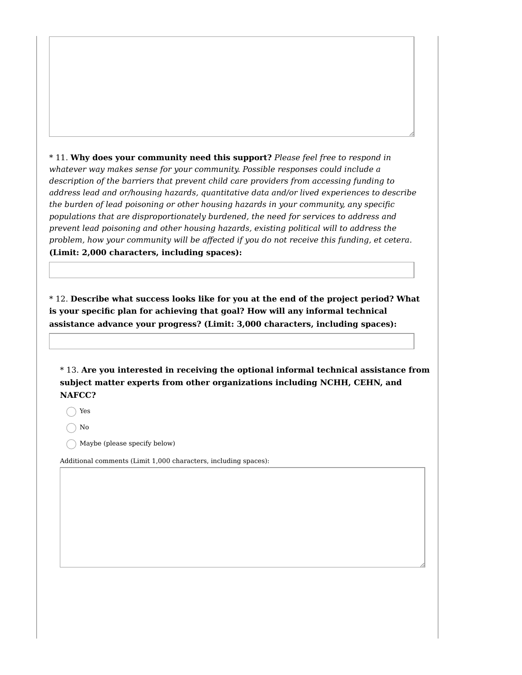\* 11. **Why does your community need this support?** *Please feel free to respond in whatever way makes sense for your community. Possible responses could include a description of the barriers that prevent child care providers from accessing funding to address lead and or/housing hazards, quantitative data and/or lived experiences to describe the burden of lead poisoning or other housing hazards in your community, any specific populations that are disproportionately burdened, the need for services to address and prevent lead poisoning and other housing hazards, existing political will to address the problem, how your community will be affected if you do not receive this funding, et cetera.* **(Limit: 2,000 characters, including spaces):**

\* 12. **Describe what success looks like for you at the end of the project period? What is your specific plan for achieving that goal? How will any informal technical assistance advance your progress? (Limit: 3,000 characters, including spaces):**

\* 13. **Are you interested in receiving the optional informal technical assistance from subject matter experts from other organizations including NCHH, CEHN, and NAFCC?**

Yes

No

 $\bigcap$  Maybe (please specify below)

Additional comments (Limit 1,000 characters, including spaces):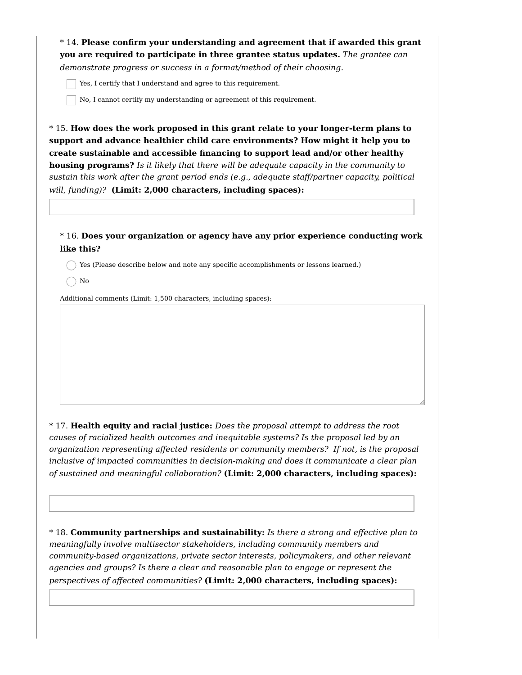\* 14. **Please confirm your understanding and agreement that if awarded this grant you are required to participate in three grantee status updates.** *The grantee can demonstrate progress or success in a format/method of their choosing.*

Yes, I certify that I understand and agree to this requirement.

No, I cannot certify my understanding or agreement of this requirement.

\* 15. **How does the work proposed in this grant relate to your longer-term plans to support and advance healthier child care environments? How might it help you to create sustainable and accessible financing to support lead and/or other healthy housing programs?** *Is it likely that there will be adequate capacity in the community to sustain this work after the grant period ends (e.g., adequate staff/partner capacity, political will, funding)?* **(Limit: 2,000 characters, including spaces):**

\* 16. **Does your organization or agency have any prior experience conducting work like this?**

 $\bigcap$  Yes (Please describe below and note any specific accomplishments or lessons learned.)

 $\bigcap$  No

Additional comments (Limit: 1,500 characters, including spaces):

\* 17. **Health equity and racial justice:** *Does the proposal attempt to address the root causes of racialized health outcomes and inequitable systems? Is the proposal led by an organization representing affected residents or community members? If not, is the proposal inclusive of impacted communities in decision-making and does it communicate a clear plan of sustained and meaningful collaboration?* **(Limit: 2,000 characters, including spaces):**

\* 18. **Community partnerships and sustainability:** *Is there a strong and effective plan to meaningfully involve multisector stakeholders, including community members and community-based organizations, private sector interests, policymakers, and other relevant agencies and groups? Is there a clear and reasonable plan to engage or represent the perspectives of affected communities?* **(Limit: 2,000 characters, including spaces):**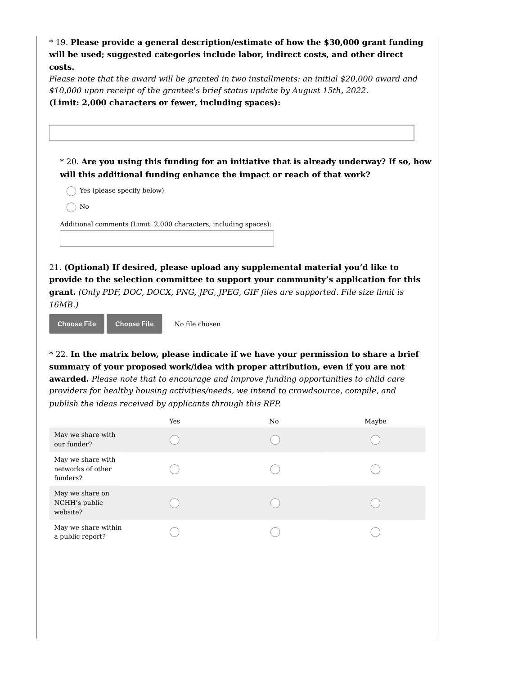| *19. Please provide a general description/estimate of how the \$30,000 grant funding<br>will be used; suggested categories include labor, indirect costs, and other direct<br>costs.<br>Please note that the award will be granted in two installments: an initial \$20,000 award and<br>\$10,000 upon receipt of the grantee's brief status update by August 15th, 2022.<br>(Limit: 2,000 characters or fewer, including spaces): |                |                                                                                                                                                                                                                                                                                                                                                                                                                                                     |                                                                                                                                                                               |  |  |
|------------------------------------------------------------------------------------------------------------------------------------------------------------------------------------------------------------------------------------------------------------------------------------------------------------------------------------------------------------------------------------------------------------------------------------|----------------|-----------------------------------------------------------------------------------------------------------------------------------------------------------------------------------------------------------------------------------------------------------------------------------------------------------------------------------------------------------------------------------------------------------------------------------------------------|-------------------------------------------------------------------------------------------------------------------------------------------------------------------------------|--|--|
| Yes (please specify below)<br>No<br>Additional comments (Limit: 2,000 characters, including spaces):                                                                                                                                                                                                                                                                                                                               |                | will this additional funding enhance the impact or reach of that work?                                                                                                                                                                                                                                                                                                                                                                              | * 20. Are you using this funding for an initiative that is already underway? If so, how                                                                                       |  |  |
| 16MB.)<br><b>Choose File</b><br><b>Choose File</b><br>publish the ideas received by applicants through this RFP.                                                                                                                                                                                                                                                                                                                   | No file chosen | 21. (Optional) If desired, please upload any supplemental material you'd like to<br>grant. (Only PDF, DOC, DOCX, PNG, JPG, JPEG, GIF files are supported. File size limit is<br>summary of your proposed work/idea with proper attribution, even if you are not<br>awarded. Please note that to encourage and improve funding opportunities to child care<br>providers for healthy housing activities/needs, we intend to crowdsource, compile, and | provide to the selection committee to support your community's application for this<br>* 22. In the matrix below, please indicate if we have your permission to share a brief |  |  |
|                                                                                                                                                                                                                                                                                                                                                                                                                                    | Yes            | N0                                                                                                                                                                                                                                                                                                                                                                                                                                                  | Maybe                                                                                                                                                                         |  |  |
| May we share with<br>our funder?                                                                                                                                                                                                                                                                                                                                                                                                   |                |                                                                                                                                                                                                                                                                                                                                                                                                                                                     |                                                                                                                                                                               |  |  |
| May we share with<br>networks of other<br>funders?                                                                                                                                                                                                                                                                                                                                                                                 |                |                                                                                                                                                                                                                                                                                                                                                                                                                                                     |                                                                                                                                                                               |  |  |
| May we share on<br>NCHH's public<br>website?                                                                                                                                                                                                                                                                                                                                                                                       |                |                                                                                                                                                                                                                                                                                                                                                                                                                                                     |                                                                                                                                                                               |  |  |
| May we share within<br>a public report?                                                                                                                                                                                                                                                                                                                                                                                            |                |                                                                                                                                                                                                                                                                                                                                                                                                                                                     |                                                                                                                                                                               |  |  |
|                                                                                                                                                                                                                                                                                                                                                                                                                                    |                |                                                                                                                                                                                                                                                                                                                                                                                                                                                     |                                                                                                                                                                               |  |  |